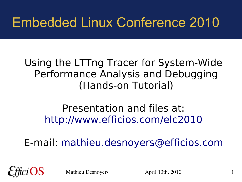#### Embedded Linux Conference 2010

#### Using the LTTng Tracer for System-Wide Performance Analysis and Debugging (Hands-on Tutorial)

#### Presentation and files at: <http://www.efficios.com/elc2010>

E-mail: [mathieu.desnoyers@efficios.com](mailto:mathieu.desnoyers@efficios.com)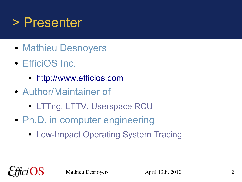#### > Presenter

- Mathieu Desnoyers
- EfficiOS Inc.
	- [http://www.efficios.com](http://www.efficios.com/)
- Author/Maintainer of
	- LTTng, LTTV, Userspace RCU
- Ph.D. in computer engineering
	- Low-Impact Operating System Tracing

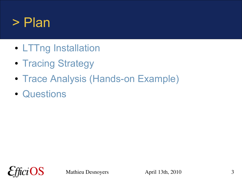#### > Plan

- LTTng Installation
- Tracing Strategy
- Trace Analysis (Hands-on Example)
- Questions

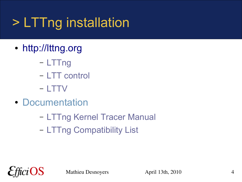## > LTTng installation

- [http://lttng.org](http://lttng.org/)
	- LTTng
	- LTT control
	- LTTV
- Documentation
	- LTTng Kernel Tracer Manual
	- LTTng Compatibility List

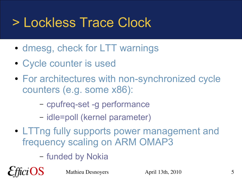#### > Lockless Trace Clock

- dmesg, check for LTT warnings
- Cycle counter is used
- For architectures with non-synchronized cycle counters (e.g. some x86):
	- cpufreq-set -g performance
	- idle=poll (kernel parameter)
- LTTng fully supports power management and frequency scaling on ARM OMAP3
	- funded by Nokia

OS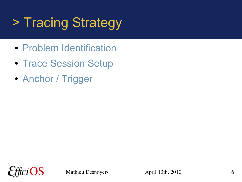# > Tracing Strategy

- Problem Identification
- Trace Session Setup
- Anchor / Trigger

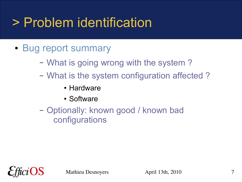#### > Problem identification

- Bug report summary
	- What is going wrong with the system ?
	- What is the system configuration affected ?
		- Hardware
		- Software
	- Optionally: known good / known bad configurations

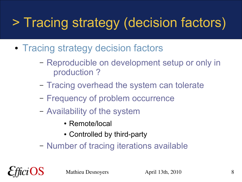## > Tracing strategy (decision factors)

- Tracing strategy decision factors
	- Reproducible on development setup or only in production ?
	- Tracing overhead the system can tolerate
	- Frequency of problem occurrence
	- Availability of the system
		- Remote/local
		- Controlled by third-party
	- Number of tracing iterations available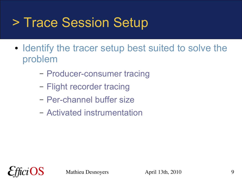#### > Trace Session Setup

- Identify the tracer setup best suited to solve the problem
	- Producer-consumer tracing
	- Flight recorder tracing
	- Per-channel buffer size
	- Activated instrumentation

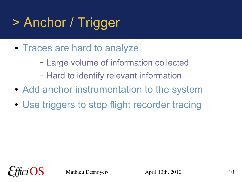# > Anchor / Trigger

- Traces are hard to analyze
	- Large volume of information collected
	- Hard to identify relevant information
- Add anchor instrumentation to the system
- Use triggers to stop flight recorder tracing

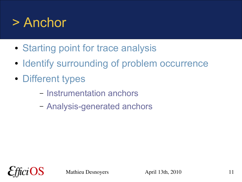#### > Anchor

- Starting point for trace analysis
- Identify surrounding of problem occurrence
- Different types
	- Instrumentation anchors
	- Analysis-generated anchors

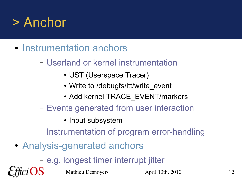#### > Anchor

- Instrumentation anchors
	- Userland or kernel instrumentation
		- UST (Userspace Tracer)
		- Write to /debugfs/ltt/write event
		- Add kernel TRACE\_EVENT/markers
	- Events generated from user interaction
		- Input subsystem
	- Instrumentation of program error-handling
- Analysis-generated anchors

– e.g. longest timer interrupt jitter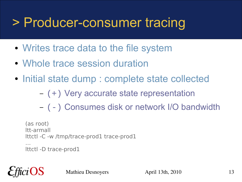#### > Producer-consumer tracing

- Writes trace data to the file system
- Whole trace session duration
- Initial state dump : complete state collected
	- (+) Very accurate state representation
	- (-) Consumes disk or network I/O bandwidth

```
(as root)
ltt-armall
lttctl -C -w /tmp/trace-prod1 trace-prod1
…
lttctl -D trace-prod1
```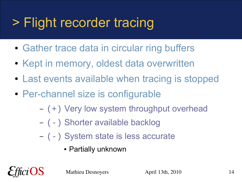### > Flight recorder tracing

- Gather trace data in circular ring buffers
- Kept in memory, oldest data overwritten
- Last events available when tracing is stopped
- Per-channel size is configurable
	- (+) Very low system throughput overhead
	- (-) Shorter available backlog
	- (-) System state is less accurate
		- Partially unknown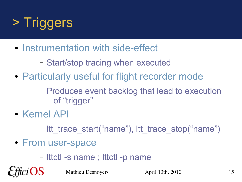

- Instrumentation with side-effect
	- Start/stop tracing when executed
- Particularly useful for flight recorder mode
	- Produces event backlog that lead to execution of "trigger"
- Kernel API

OS

- Itt trace start("name"), ltt trace stop("name")
- From user-space
	- lttctl -s name ; lttctl -p name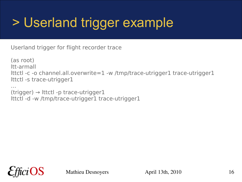### > Userland trigger example

Userland trigger for flight recorder trace

(as root) ltt-armall lttctl -c -o channel.all.overwrite=1 -w /tmp/trace-utrigger1 trace-utrigger1 lttctl -s trace-utrigger1

…  $(trigger) \rightarrow Ittctl -p trace-utrigger1$ lttctl -d -w /tmp/trace-utrigger1 trace-utrigger1

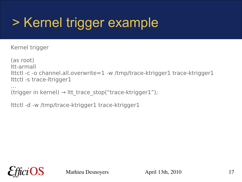### > Kernel trigger example

Kernel trigger

(as root) ltt-armall lttctl -c -o channel.all.overwrite=1 -w /tmp/trace-ktrigger1 trace-ktrigger1 lttctl -s trace-ltrigger1

… (trigger in kernel)  $\rightarrow$  ltt trace stop("trace-ktrigger1");

lttctl -d -w /tmp/trace-ktrigger1 trace-ktrigger1

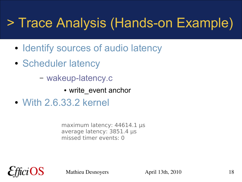#### > Trace Analysis (Hands-on Example)

- Identify sources of audio latency
- Scheduler latency

– wakeup-latency.c

- write event anchor
- With 2.6.33.2 kernel

maximum latency: 44614.1 µs average latency: 3851.4 µs missed timer events: 0

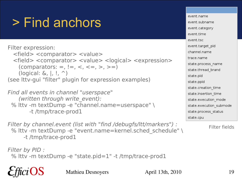### > Find anchors

Filter expression: <field> <comparator> <value> <field> <comparator> <value> <logical> <expression> (comparators: =, !=, <, <=, >, >=) (logical:  $\&, \vert, \vert, \uparrow, \uparrow$ ) (see lttv-gui "filter" plugin for expression examples)

Find all events in channel "userspace" (written through write event): % lttv -m textDump -e "channel.name=userspace" \ -t /tmp/trace-prod1

Filter by channel.event (list with "find /debugfs/ltt/markers") : % lttv -m textDump -e "event.name=kernel.sched schedule" \ -t /tmp/trace-prod1

Filter by PID : % lttv -m textDump -e "state.pid=1" -t /tmp/trace-prod1

event name event subname event.category event.time event.tsc event.target pid channel.name trace.name state.process name state.thread brand state.pid state.ppid state.creation time state.insertion time state.execution mode state.execution submode state.process status state.cpu

Filter fields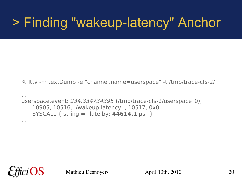#### > Finding "wakeup-latency" Anchor

% lttv -m textDump -e "channel.name=userspace" -t /tmp/trace-cfs-2/

```
...
userspace.event: 234.334734395 (/tmp/trace-cfs-2/userspace_0),
   10905, 10516, ./wakeup-latency, , 10517, 0x0,
   SYSCALL { string = "late by: 44614.1 µs" }
```


...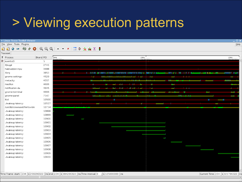#### > Viewing execution patterns

| <b>Linux Trace Toolkit Viewer</b>             |           |                                                                                                                                                                                            |                  |                                                                                     |             |                 |          |              | $\Box$ $\times$   |
|-----------------------------------------------|-----------|--------------------------------------------------------------------------------------------------------------------------------------------------------------------------------------------|------------------|-------------------------------------------------------------------------------------|-------------|-----------------|----------|--------------|-------------------|
| ile <u>V</u> iew Tools Plugins                |           |                                                                                                                                                                                            |                  |                                                                                     |             |                 |          |              | $He$ lp           |
| <br>$\hat{\omega}$<br>卒<br>$\mathcal{L}$<br>Z | $\bullet$ | $\begin{array}{ccc}\n\mathbb{Q} & \mathbb{Q} & \mathbb{Q} &   & \star & \star &   & \mathbb{E} & \mathbb{D} & \mathbb{E} & \mathbb{E} & \mathbb{E} & \mathbb{E} & \mathbb{I}\n\end{array}$ |                  |                                                                                     |             |                 |          |              |                   |
| raceset                                       |           |                                                                                                                                                                                            |                  |                                                                                     |             |                 |          |              |                   |
| Process                                       | Brand PID | 234s<br>rogargas.                                                                                                                                                                          |                  |                                                                                     | 234s        | $\cdots \cdots$ |          |              | 234s<br>001000000 |
| events/0                                      | 5         |                                                                                                                                                                                            |                  |                                                                                     |             |                 |          |              |                   |
| ifplugd                                       | 2741      |                                                                                                                                                                                            |                  |                                                                                     |             |                 |          |              |                   |
| hald-addon-inpu                               | 3488      |                                                                                                                                                                                            |                  |                                                                                     |             |                 |          |              |                   |
| Xorg                                          | 3853      |                                                                                                                                                                                            | <b>THE RUINE</b> | <u> 1988 - Bilbarris et ritheren die begestelsische Freisen bis die Bilbarris (</u> |             | <b>THE REAL</b> | <b>.</b> |              | m v               |
| gnome-settings-                               | 4529      |                                                                                                                                                                                            |                  |                                                                                     | . .         | Ĩ.              |          | . .          |                   |
| metacity                                      | 4557      |                                                                                                                                                                                            | m                |                                                                                     |             |                 |          |              |                   |
| nautilus                                      | 4606      |                                                                                                                                                                                            |                  |                                                                                     |             |                 |          |              |                   |
| notification-da                               | 4645      |                                                                                                                                                                                            |                  |                                                                                     | 61 T.H<br>ш | m               | - 1      | $\mathbf{1}$ |                   |
| gnome-terminal                                | 4906      |                                                                                                                                                                                            |                  |                                                                                     |             |                 |          |              |                   |
| gnome-panel                                   | 7147      |                                                                                                                                                                                            |                  |                                                                                     |             |                 |          |              | m.                |
| Ittd                                          | 10500     |                                                                                                                                                                                            |                  |                                                                                     |             |                 |          |              |                   |
| ./wakeup-latency                              | 10517     |                                                                                                                                                                                            |                  |                                                                                     |             |                 |          |              |                   |
| /usr/lib/iceweasel/firefox-bin                | 10734     |                                                                                                                                                                                            |                  |                                                                                     |             |                 |          |              |                   |
| ./wakeup-latency                              | 10898     |                                                                                                                                                                                            |                  |                                                                                     |             |                 |          |              |                   |
| ./wakeup-latency                              | 10899     |                                                                                                                                                                                            |                  |                                                                                     |             |                 |          |              |                   |
| ./wakeup-latency                              | 10900     |                                                                                                                                                                                            | P.               |                                                                                     |             |                 |          |              |                   |
| ./wakeup-latency                              | 10901     |                                                                                                                                                                                            |                  |                                                                                     |             |                 |          |              |                   |
| ./wakeup-latency                              | 10902     |                                                                                                                                                                                            |                  |                                                                                     |             |                 |          |              |                   |
| ./wakeup-latency                              | 10903     |                                                                                                                                                                                            |                  |                                                                                     |             |                 |          |              |                   |
| ./wakeup-latency                              | 10904     |                                                                                                                                                                                            |                  |                                                                                     |             |                 |          |              |                   |
| ./wakeup-latency                              | 10905     |                                                                                                                                                                                            |                  |                                                                                     |             | $\sim$          |          |              |                   |
| ./wakeup-latency                              | 10906     |                                                                                                                                                                                            |                  |                                                                                     |             |                 |          |              |                   |
| ./wakeup-latency                              | 10907     |                                                                                                                                                                                            |                  |                                                                                     |             |                 |          |              |                   |
| ./wakeup-latency                              | 10908     |                                                                                                                                                                                            |                  |                                                                                     |             |                 |          |              |                   |
| ./wakeup-latency                              | 10909     |                                                                                                                                                                                            |                  |                                                                                     |             |                 |          |              |                   |
| ./wakeup-latency                              | 10910     |                                                                                                                                                                                            |                  |                                                                                     |             |                 |          |              |                   |
|                                               |           |                                                                                                                                                                                            |                  |                                                                                     |             |                 |          |              |                   |
|                                               |           |                                                                                                                                                                                            |                  |                                                                                     |             |                 |          |              |                   |
|                                               |           |                                                                                                                                                                                            |                  |                                                                                     |             |                 |          |              |                   |
|                                               |           |                                                                                                                                                                                            |                  |                                                                                     |             |                 |          |              |                   |

Time Frame start: 234 -s 259296322 -ins end: 234 -s 384296322 -ins Time Interval: 0 -s 125000000 -ins and the start of the current Time: 234 -s 321796322 -ins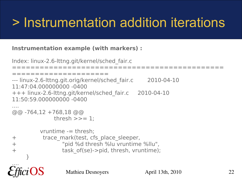#### > Instrumentation addition iterations

#### **Instrumentation example (with markers) :**

```
Mathieu Desnoyers April 13th, 2010 22
Index: linux-2.6-lttng.git/kernel/sched_fair.c
    ==============================================
 =====================
--- linux-2.6-lttng.git.orig/kernel/sched fair.c 2010-04-10
11:47:04.000000000 -0400
+++ linux-2.6-lttng.git/kernel/sched_fair.c 2010-04-10 
11:50:59.000000000 -0400
....
@@ -764,12 +768,18 @@
             thresh \gg=1;
          vruntime -= thresh;
+ trace_mark(test, cfs_place_sleeper,
+ "pid %d thresh %lu vruntime %llu",
+ task_of(se)->pid, thresh, vruntime);
     }
....
```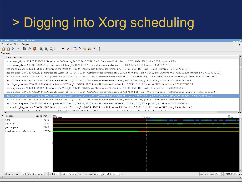### > Digging into Xorg scheduling

I inux Trace Toolkit Viewer

File View Tools Plugins

#### $= | \otimes \circ \mathbf{Q} | \oplus \mathbf{Q} \oplus | \mathbf{A} - \mathbf{x} | | = 1 + \mathbf{A} \Sigma$  $\mathbb{Z}$

#### Traceset

#### $\mathbf{D}$  Event Description

kernel.send signal: 234.321790689 (/tmp/trace-cfs-2/kernel 0), 10734, 10734, /usr/lib/iceweasel/firefox-bin., 10733, 0x0, IRO { pid = 3853, signal = 29 } test.wakeup state: 234.321793993 (/tmp/trace-cfs-2/test 0), 10734, 10734, /usr/lib/iceweasel/firefox-bin, , 10733, 0x0, IRO { caller = 0xC1073781 } test.cfs enqueue: 234.321795160 (/tmp/trace-cfs-2/test 0), 10734, 10734, /usr/lib/iceweasel/firefox-bin, , 10733, 0x0, IRQ { pid = 3853, vruntime = 37793709218 } test.cfs place: 234.321796322 (/tmp/trace-cfs-2/test 0), 10734, 10734, /usr/lib/iceweasel/firefox-bin, , 10733, 0x0, IRQ { pid = 3853, orig vruntime = 37793709218, vruntime = 37793709218, vruntime = 37793709218 } test.cfs place sleeper: 234.321797137 (/tmp/trace-cfs-2/test 0), 10734, 10734, /usr/lib/iceweasel/firefox-bin., 10733, 0x0, IRO { pid = 3853, thresh = 2500000, vruntime = 37791209218 } test.cfs place end: 234.321797808 (/tmp/trace-cfs-2/test 0), 10734, 10734, /usr/lib/iceweasel/firefox-bin, , 10733, 0x0, IRQ { pid = 3853, vruntime = 37793709218 } test.cfs int engueue: 234.321798430 (/tmp/trace-cfs-2/test 0), 10734, 10734, /usr/lib/iceweasel/firefox-bin., 10733, 0x0, IRO { pid = 3853, vruntime = 37793709218 } test.cfs enqueue: 234.321799062 (/tmp/trace-cfs-2/test 0), 10734, 10734, /usr/lib/iceweasel/firefox-bin, , 10733, 0x0, IRQ { pid = 0, vruntime = 55069985566 } test.cfs place: 234.321799834 (/tmp/trace-cfs-2/test 0), 10734, 10734, /usr/lib/iceweasel/firefox-bin, , 10733, 0x0, IRO { pid = 0, orig vruntime = 55069985566, vruntime = 55073363633 test.cfs place sleeper: 234.321800598 (/tmp/trace-cfs-2/test 0), 10734, 10734, /usr/lib/iceweasel/firefox-bin, , 10733, 0x0, IRQ { pid = 0, thresh = 2500000, vruntime = 55070863633 test.cfs place end: 234.321801261 (/tmp/trace-cfs-2/test 0), 10734, 10734, /usr/lib/iceweasel/firefox-bin, , 10733, 0x0, IRQ { pid = 0, vruntime = 55070863633 }

Help

test.cfs int engueue: 234.321801815 (/tmp/trace-cfs-2/test 0), 10734, 10734, /usr/lib/iceweasel/firefox-bin, , 10733, 0x0, IRO { pid = 0, vruntime = 55070863633 } kernel.sched try wakeup: 234.321802314 (/tmp/trace-cfs-2/kernel 0), 10734, 10734, /usr/lib/iceweasel/firefox-bin, , 10733, 0x0, IRQ { pid = 3853, cpu id = 0, state = 1 }  $\label{eq:subspace} \mathcal{O}(1) = \mathcal{O}(\mathcal{O}(\mathcal{O}(\mathcal{O}(\mathcal{O}(\mathcal{O}(\mathcal{O}(\mathcal{O}(\mathcal{O}(\mathcal{O}(\mathcal{O}(\mathcal{O}(\mathcal{O}(\mathcal{O}(\mathcal{O}(\mathcal{O}(\mathcal{O}(\mathcal{O}(\mathcal{O}(\mathcal{O}(\mathcal{O}(\mathcal{O}(\mathcal{O}(\mathcal{O}(\mathcal{O}(\mathcal{O}(\mathcal{O}(\mathcal{O}))))\mathcal{O}(\mathcal{O}(\mathcal{O}(\mathcal{O}(\mathcal{O}(\mathcal{$ 10700 OUD HEED MODE

| <b>171</b>                     |           |                                                                                |                                |           | ш                                   |
|--------------------------------|-----------|--------------------------------------------------------------------------------|--------------------------------|-----------|-------------------------------------|
| ? Process                      | Brand PID | 234s<br>220010760                                                              | 234s                           | 221705222 | 234s<br>$\ldots \ldots \ldots$      |
| $\mathbf{D}$ Xorg              | 3853      |                                                                                |                                | _____     | $\sim$ $\sim$ $\sim$                |
| metacity                       | 4557      |                                                                                |                                | ---       | . .<br>. .                          |
| gnome-panel                    | 7147      |                                                                                |                                |           | . .                                 |
| /usr/lib/iceweasel/firefox-bin | 10734     |                                                                                |                                |           |                                     |
|                                |           |                                                                                |                                |           |                                     |
|                                |           |                                                                                |                                |           |                                     |
|                                |           |                                                                                |                                |           |                                     |
|                                |           |                                                                                |                                |           |                                     |
|                                |           |                                                                                |                                |           |                                     |
|                                |           |                                                                                |                                |           |                                     |
|                                |           |                                                                                |                                |           |                                     |
|                                |           |                                                                                |                                |           |                                     |
|                                |           |                                                                                |                                |           |                                     |
|                                |           |                                                                                |                                |           |                                     |
|                                |           | ime Frame start: 234÷s320819760÷ns end:234÷s322772885÷ns Time Interval: 0. [0] | $\frac{1}{5}$ s 1953125<br>÷ns |           | Current Time: 234 : s 321800598 : n |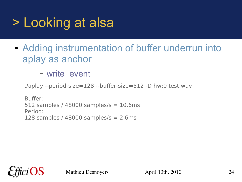### > Looking at alsa

• Adding instrumentation of buffer underrun into aplay as anchor

– write\_event

./aplay --period-size=128 --buffer-size=512 -D hw:0 test.wav

Buffer: 512 samples / 48000 samples/s  $= 10.6$ ms Period: 128 samples /  $48000$  samples/s = 2.6ms

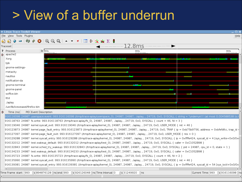#### > View of a buffer underrun

|    | ▼ Linux Trace Toolkit Viewer                                  |                                                                                                                                                         |                                                                                                                                                                                    | $\square$ $\times$ |
|----|---------------------------------------------------------------|---------------------------------------------------------------------------------------------------------------------------------------------------------|------------------------------------------------------------------------------------------------------------------------------------------------------------------------------------|--------------------|
|    | File View Tools Plugins                                       |                                                                                                                                                         |                                                                                                                                                                                    | Help               |
|    | ⊗<br>정 성<br>$\widehat{\mathbb{C}}$<br>$\bullet$<br><b>COL</b> | $\mathbb{Q} \mathbb{Q} \mathbb{Q} \mathbb{I} \rightarrow \mathbb{Z} \mathbb{I} \mathbb{I} \mathbb{P} \stackrel{\dagger}{=}\mathbb{R} \Sigma \mathbb{I}$ |                                                                                                                                                                                    |                    |
|    | Traceset                                                      |                                                                                                                                                         | 12.8ms                                                                                                                                                                             |                    |
|    | ? Process                                                     | Br 993s                                                                                                                                                 | 993s                                                                                                                                                                               | 993s               |
|    | $\mathbf{p}$ apache2                                          |                                                                                                                                                         |                                                                                                                                                                                    |                    |
|    | Xorg                                                          |                                                                                                                                                         |                                                                                                                                                                                    |                    |
|    | tpb                                                           |                                                                                                                                                         |                                                                                                                                                                                    |                    |
|    | gnome-settings-                                               |                                                                                                                                                         |                                                                                                                                                                                    |                    |
|    | metacity                                                      |                                                                                                                                                         |                                                                                                                                                                                    |                    |
|    | nautilus                                                      |                                                                                                                                                         |                                                                                                                                                                                    |                    |
|    | notification-da                                               |                                                                                                                                                         |                                                                                                                                                                                    |                    |
|    | gnome-terminal                                                |                                                                                                                                                         |                                                                                                                                                                                    |                    |
|    | gnome-panel                                                   |                                                                                                                                                         |                                                                                                                                                                                    |                    |
|    | soffice.bin                                                   |                                                                                                                                                         |                                                                                                                                                                                    |                    |
|    | lttd                                                          |                                                                                                                                                         |                                                                                                                                                                                    |                    |
|    | ./aplay                                                       |                                                                                                                                                         |                                                                                                                                                                                    |                    |
|    | /usr/lib/iceweasel/firefox-bin                                |                                                                                                                                                         |                                                                                                                                                                                    |                    |
| Ð. | Time (ns)<br>PID Event Description                            |                                                                                                                                                         |                                                                                                                                                                                    |                    |
|    |                                                               |                                                                                                                                                         | 916116098 24987 userspace.event: 993.916116098 (/tmp/trace-aplay/userspace 0), 24987, 24987, ./aplay, , 24719, 0x0, SYSCALL { string = "underrun!!! (at most 0.004588538 (s.i      |                    |
|    |                                                               |                                                                                                                                                         | 916118763 24987 fs.write: 993.916118763 (/tmp/trace-aplay/fs_0), 24987, 24987, ./aplay, , 24719, 0x0, SYSCALL { count = 46, fd = 3 }                                               |                    |
|    |                                                               |                                                                                                                                                         | 916119046 24987 kernel.syscall_exit: 993.916119046 (/tmp/trace-aplay/kernel_0), 24987, 24987, ./aplay, , 24719, 0x0, USER_MODE { ret = 46 }                                        |                    |
|    |                                                               |                                                                                                                                                         | 916123873 24987 kernel.page fault entry: 993.916123873 (/tmp/trace-aplay/kernel 0), 24987, 24987, ./aplay, , 24719, 0x0, TRAP { ip = 0xb75b9756, address = 0xbfefdfcc, trap id =   |                    |
|    |                                                               |                                                                                                                                                         | 916127097 24987 kernel.page fault exit: 993.916127097 (/tmp/trace-aplay/kernel 0), 24987, 24987, ./aplay, , 24719, 0x0, USER MODE { res = 0 }                                      |                    |
|    |                                                               |                                                                                                                                                         | 916129288 24987 kernel.syscall_entry: 993.916129288 (/tmp/trace-aplay/kernel_0), 24987, 24987, ./aplay, , 24719, 0x0, SYSCALL { ip = 0xffffe424, syscall id = 4 [sys write+0x0/0x  |                    |
|    |                                                               |                                                                                                                                                         | 916132012 24987 test.wakeup_default: 993.916132012 (/tmp/trace-aplay/test_0), 24987, 24987, ./aplay, , 24719, 0x0, SYSCALL { caller = 0xC1052B98 }                                 |                    |
|    |                                                               |                                                                                                                                                         | 916132843 24987 kernel.sched_try_wakeup: 993.916132843 (/tmp/trace-aplay/kernel_0), 24987, 24987, ./aplay, , 24719, 0x0, SYSCALL { pid = 24987, cpu_id = 0, state = 1 }            |                    |
|    |                                                               |                                                                                                                                                         | 916134233 24987 test.wakeup default: 993.916134233 (/tmp/trace-aplay/test 0), 24987, 24987, ./aplay, , 24719, 0x0, SYSCALL { caller = 0xC1052B98 }                                 |                    |
|    |                                                               |                                                                                                                                                         | 916135723 24987 fs.write: 993.916135723 (/tmp/trace-aplay/fs 0), 24987, 24987, ./aplay, , 24719, 0x0, SYSCALL { count = 46, fd = 2 }                                               |                    |
|    |                                                               |                                                                                                                                                         | 916135990 24987 kernel.syscall exit: 993.916135990 (/tmp/trace-aplay/kernel 0), 24987, 24987, ./aplay, , 24719, 0x0, USER MODE { ret = 46 }                                        |                    |
|    |                                                               |                                                                                                                                                         | 916139381 24987 kernel.syscall entry: 993.916139381 (/tmp/trace-aplay/kernel 0), 24987, 24987, ./aplay, , 24719, 0x0, SYSCALL { ip = 0xffffe424, syscall id = 54 [sys ioctl+0x0/0x |                    |
|    |                                                               |                                                                                                                                                         |                                                                                                                                                                                    |                    |
|    |                                                               | Time Frame_start:  993   ≑s 894876128 ≑lns end:  993   ≑s 926126048 ≑ns Time Interval: O     ≓s 31249920   ≑ns                                          |                                                                                                                                                                                    |                    |
|    |                                                               |                                                                                                                                                         |                                                                                                                                                                                    |                    |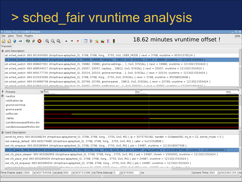#### > sched\_fair vruntime analysis

| $\blacktriangledown$ Linux Trace Toolkit Viewer                                                                                                                                                                                                                                                                                                                                                                                                                    | $\Box$ $\times$                |
|--------------------------------------------------------------------------------------------------------------------------------------------------------------------------------------------------------------------------------------------------------------------------------------------------------------------------------------------------------------------------------------------------------------------------------------------------------------------|--------------------------------|
| File View Tools Plugins                                                                                                                                                                                                                                                                                                                                                                                                                                            | Help                           |
| ⊗ ⊘<br>$\bigcirc$ $\bigcirc$ $\bigcirc$ $\bigcirc$ $\bigcirc$ $\bigcirc$ $\bigcirc$ $\bigcirc$ $\bigcirc$ $\bigcirc$ $\bigcirc$ $\bigcirc$ $\bigcirc$ $\bigcirc$ $\bigcirc$ $\bigcirc$ $\bigcirc$ $\bigcirc$ $\bigcirc$ $\bigcirc$ $\bigcirc$ $\bigcirc$ $\bigcirc$ $\bigcirc$ $\bigcirc$ $\bigcirc$ $\bigcirc$ $\bigcirc$ $\bigcirc$ $\bigcirc$ $\bigcirc$ $\bigcirc$ $\bigcirc$ $\bigcirc$ $\bigcirc$ $\bigcirc$ $\bigcirc$<br>刘 内<br>$\mathcal{L}(\mathcal{C})$ | 18.62 minutes vruntime offset! |
| Traceset                                                                                                                                                                                                                                                                                                                                                                                                                                                           |                                |
| $\mathbf{\hat{v}}$ vent Description                                                                                                                                                                                                                                                                                                                                                                                                                                |                                |
| 3st.sched switch: 993.901654560 (/tmp/trace-aplay/test 0), 3768, 3768, Xorg, , 3755, 0x0, USER MODE { next = 3768, vruntime = 95351578124 }                                                                                                                                                                                                                                                                                                                        |                                |
| est.sched switch: 993.908105835 (/tmp/trace-aplay/test 0), 19999, 19999, metacity, , 19812, 0x0, SYSCALL { next = 19999, vruntime = 1213021553424 }                                                                                                                                                                                                                                                                                                                |                                |
| sst.sched_switch: 993.908407361 (/tmp/trace-aplay/test_0), 19982, 19982, gnome-settings-, , 1, 0x0, SYSCALL { next = 19982, vruntime = 1213021553424 }                                                                                                                                                                                                                                                                                                             |                                |
| sst.sched switch: 993.908534017 (/tmp/trace-aplay/test 0), 20057, 20057, nautilus, , 19812, 0x0, SYSCALL { next = 20057, vruntime = 1213021553424 }                                                                                                                                                                                                                                                                                                                |                                |
| 3st.sched switch: 993.909177730 (/tmp/trace-aplay/test 0), 20314, 20314, gnome-terminal, , 1, 0x0, SYSCALL { next = 20314, vruntime = 1213021553424 }                                                                                                                                                                                                                                                                                                              |                                |
| 3st.sched switch: 993.910533596 (/tmp/trace-aplay/test 0), 3768, 3768, Xorg, , 3755, 0x0, SYSCALL { next = 3768, vruntime = 95358020608 }                                                                                                                                                                                                                                                                                                                          |                                |
| est.sched switch: 993.914999738 (/tmp/trace-aplay/test 0), 20769, 20769, gnome-panel, , 19812, 0x0, SYSCALL { next = 20769, vruntime = 1213021553424 }                                                                                                                                                                                                                                                                                                             |                                |
| het cebod cwitch: 002.015641107.//tmn/trace.anlay/tect0)2000720007notification.do 10v0.0700011 [.novt = 20007 velotime = 1212021552424.1                                                                                                                                                                                                                                                                                                                           | ▸ │┑                           |
| <b>Br</b> 993s<br>? Process                                                                                                                                                                                                                                                                                                                                                                                                                                        | 993s<br>993s                   |
| $\mathbf{D}$ nautilus                                                                                                                                                                                                                                                                                                                                                                                                                                              |                                |
| notification-da                                                                                                                                                                                                                                                                                                                                                                                                                                                    |                                |
| gnome-terminal                                                                                                                                                                                                                                                                                                                                                                                                                                                     |                                |
| gnome-panel                                                                                                                                                                                                                                                                                                                                                                                                                                                        |                                |
| soffice.bin                                                                                                                                                                                                                                                                                                                                                                                                                                                        |                                |
| ./aplay                                                                                                                                                                                                                                                                                                                                                                                                                                                            |                                |
| /usr/lib/iceweasel/firefox-bin                                                                                                                                                                                                                                                                                                                                                                                                                                     |                                |
| /usr/lib/iceweasel/firefox-bin                                                                                                                                                                                                                                                                                                                                                                                                                                     |                                |
| $\mathbf{\hat{D}}$ Event Description                                                                                                                                                                                                                                                                                                                                                                                                                               |                                |
| <ernel.irq (="" ,="" 0),="" 0x0,="" 3755,="" 3768,="" 993.903268234="" entry:="" handler="0xfabbb490," id="22," ip="3075750182," irq="" kernel="" mode="0" td="" tmp="" trace-aplay="" xorg,="" {="" }<=""><td></td></ernel.irq>                                                                                                                                                                                                                                   |                                |
| :est.wakeup default: 993.903279480 (/tmp/trace-aplay/test 0), 3768, 3768, Xorg, , 3755, 0x0, IRQ { caller = 0xC1052B98 }                                                                                                                                                                                                                                                                                                                                           |                                |
| :est.cfs enqueue: 993.903280844 (/tmp/trace-aplay/test 0), 3768, 3768, Xorg, , 3755, 0x0, IRQ { pid = 24987, vruntime = 1213018367508 }                                                                                                                                                                                                                                                                                                                            |                                |
| test.cfs_place: 993.903281949 (/tmp/trace-aplay/test_0), 3768, 3768, Xorg, , 3755, 0x0, IRQ { pid = 24987, orig_vruntime = 1213018367508, vruntime = 1213024053424 }                                                                                                                                                                                                                                                                                               |                                |
| :est.cfs place sleeper: 993.903282859 (/tmp/trace-aplay/test 0), 3768, 3768, Xorg, , 3755, 0x0, IRQ { pid = 24987, thresh = 2500000, vruntime = 1213021553424 }                                                                                                                                                                                                                                                                                                    |                                |
| [est.cfs_place_end: 993.903283609 (/tmp/trace-aplay/test_0), 3768, 3768, Xorg, , 3755, 0x0, IRQ { pid = 24987, vruntime = 1213021553424 }                                                                                                                                                                                                                                                                                                                          |                                |
| [est.cfs int enqueue: 993.903284202 (/tmp/trace-aplay/test 0), 3768, 3768, Xorg, , 3755, 0x0, IRQ { pid = 24987, vruntime = 1213021553424 }                                                                                                                                                                                                                                                                                                                        |                                |
|                                                                                                                                                                                                                                                                                                                                                                                                                                                                    |                                |
| Time Frame_start:  993   ÷ s 902754538 ÷ ns end: 993   ÷ s 903731098 ÷ ns Time Interval: 0<br>, s∣976560                                                                                                                                                                                                                                                                                                                                                           | ÷lns                           |
|                                                                                                                                                                                                                                                                                                                                                                                                                                                                    |                                |